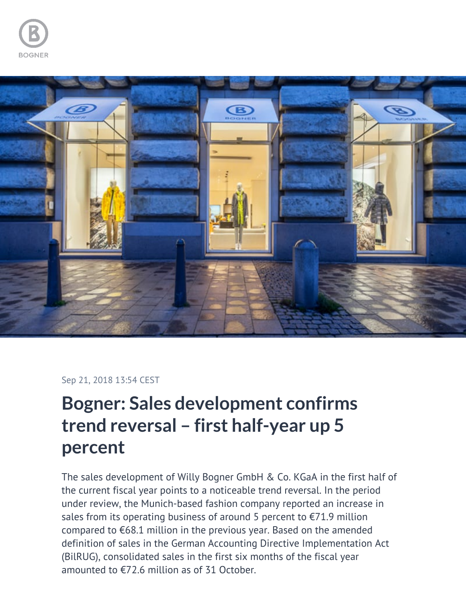



## Sep 21, 2018 13:54 CEST

## **Bogner: Sales development confirms trend reversal – first half-year up 5 percent**

The sales development of Willy Bogner GmbH & Co. KGaA in the first half of the current fiscal year points to a noticeable trend reversal. In the period under review, the Munich-based fashion company reported an increase in sales from its operating business of around 5 percent to  $\epsilon$ 71.9 million compared to €68.1 million in the previous year. Based on the amended definition of sales in the German Accounting Directive Implementation Act (BilRUG), consolidated sales in the first six months of the fiscal year amounted to €72.6 million as of 31 October.